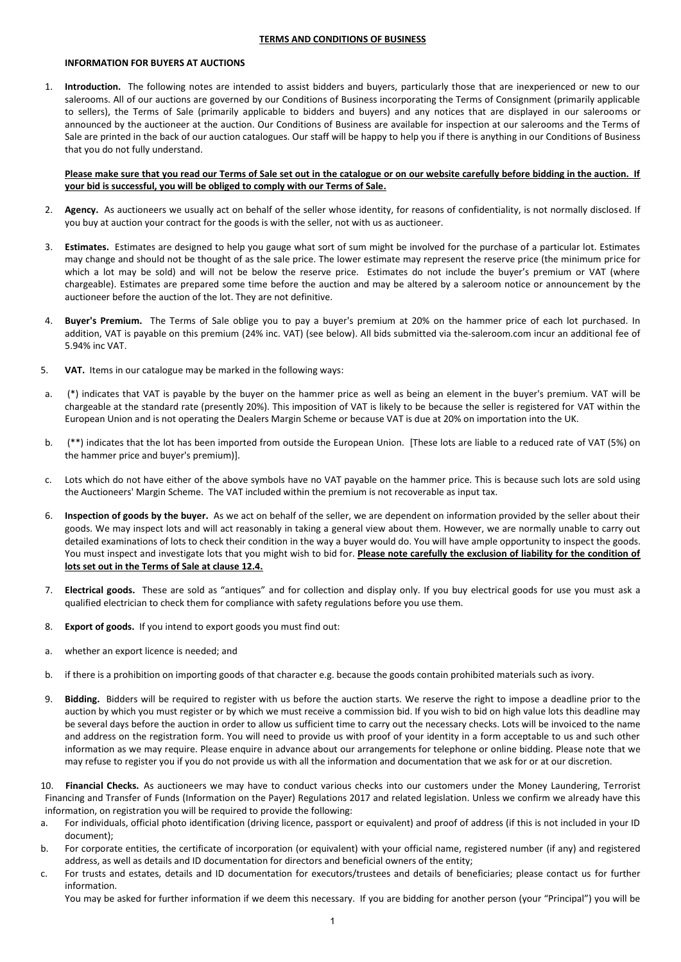## **TERMS AND CONDITIONS OF BUSINESS**

# **INFORMATION FOR BUYERS AT AUCTIONS**

1. **Introduction.** The following notes are intended to assist bidders and buyers, particularly those that are inexperienced or new to our salerooms. All of our auctions are governed by our Conditions of Business incorporating the Terms of Consignment (primarily applicable to sellers), the Terms of Sale (primarily applicable to bidders and buyers) and any notices that are displayed in our salerooms or announced by the auctioneer at the auction. Our Conditions of Business are available for inspection at our salerooms and the Terms of Sale are printed in the back of our auction catalogues. Our staff will be happy to help you if there is anything in our Conditions of Business that you do not fully understand.

# **Please make sure that you read our Terms of Sale set out in the catalogue or on our website carefully before bidding in the auction. If your bid is successful, you will be obliged to comply with our Terms of Sale.**

- 2. **Agency.** As auctioneers we usually act on behalf of the seller whose identity, for reasons of confidentiality, is not normally disclosed. If you buy at auction your contract for the goods is with the seller, not with us as auctioneer.
- 3. **Estimates.** Estimates are designed to help you gauge what sort of sum might be involved for the purchase of a particular lot. Estimates may change and should not be thought of as the sale price. The lower estimate may represent the reserve price (the minimum price for which a lot may be sold) and will not be below the reserve price. Estimates do not include the buyer's premium or VAT (where chargeable). Estimates are prepared some time before the auction and may be altered by a saleroom notice or announcement by the auctioneer before the auction of the lot. They are not definitive.
- 4. **Buyer's Premium.** The Terms of Sale oblige you to pay a buyer's premium at 20% on the hammer price of each lot purchased. In addition, VAT is payable on this premium (24% inc. VAT) (see below). All bids submitted via the-saleroom.com incur an additional fee of 5.94% inc VAT.
- 5. **VAT.** Items in our catalogue may be marked in the following ways:
- a. (\*) indicates that VAT is payable by the buyer on the hammer price as well as being an element in the buyer's premium. VAT will be chargeable at the standard rate (presently 20%). This imposition of VAT is likely to be because the seller is registered for VAT within the European Union and is not operating the Dealers Margin Scheme or because VAT is due at 20% on importation into the UK.
- b. (\*\*) indicates that the lot has been imported from outside the European Union. [These lots are liable to a reduced rate of VAT (5%) on the hammer price and buyer's premium)].
- Lots which do not have either of the above symbols have no VAT payable on the hammer price. This is because such lots are sold using the Auctioneers' Margin Scheme. The VAT included within the premium is not recoverable as input tax.
- 6. **Inspection of goods by the buyer.** As we act on behalf of the seller, we are dependent on information provided by the seller about their goods. We may inspect lots and will act reasonably in taking a general view about them. However, we are normally unable to carry out detailed examinations of lots to check their condition in the way a buyer would do. You will have ample opportunity to inspect the goods. You must inspect and investigate lots that you might wish to bid for. Please note carefully the exclusion of liability for the condition of **lots set out in the Terms of Sale at clause 12.4.**
- 7. **Electrical goods.** These are sold as "antiques" and for collection and display only. If you buy electrical goods for use you must ask a qualified electrician to check them for compliance with safety regulations before you use them.
- 8. **Export of goods.** If you intend to export goods you must find out:
- a. whether an export licence is needed; and
- b. if there is a prohibition on importing goods of that character e.g. because the goods contain prohibited materials such as ivory.
- 9. **Bidding.** Bidders will be required to register with us before the auction starts. We reserve the right to impose a deadline prior to the auction by which you must register or by which we must receive a commission bid. If you wish to bid on high value lots this deadline may be several days before the auction in order to allow us sufficient time to carry out the necessary checks. Lots will be invoiced to the name and address on the registration form. You will need to provide us with proof of your identity in a form acceptable to us and such other information as we may require. Please enquire in advance about our arrangements for telephone or online bidding. Please note that we may refuse to register you if you do not provide us with all the information and documentation that we ask for or at our discretion.

10. **Financial Checks.** As auctioneers we may have to conduct various checks into our customers under the Money Laundering, Terrorist Financing and Transfer of Funds (Information on the Payer) Regulations 2017 and related legislation. Unless we confirm we already have this information, on registration you will be required to provide the following:

- a. For individuals, official photo identification (driving licence, passport or equivalent) and proof of address (if this is not included in your ID document);
- b. For corporate entities, the certificate of incorporation (or equivalent) with your official name, registered number (if any) and registered address, as well as details and ID documentation for directors and beneficial owners of the entity;
- c. For trusts and estates, details and ID documentation for executors/trustees and details of beneficiaries; please contact us for further information.

You may be asked for further information if we deem this necessary. If you are bidding for another person (your "Principal") you will be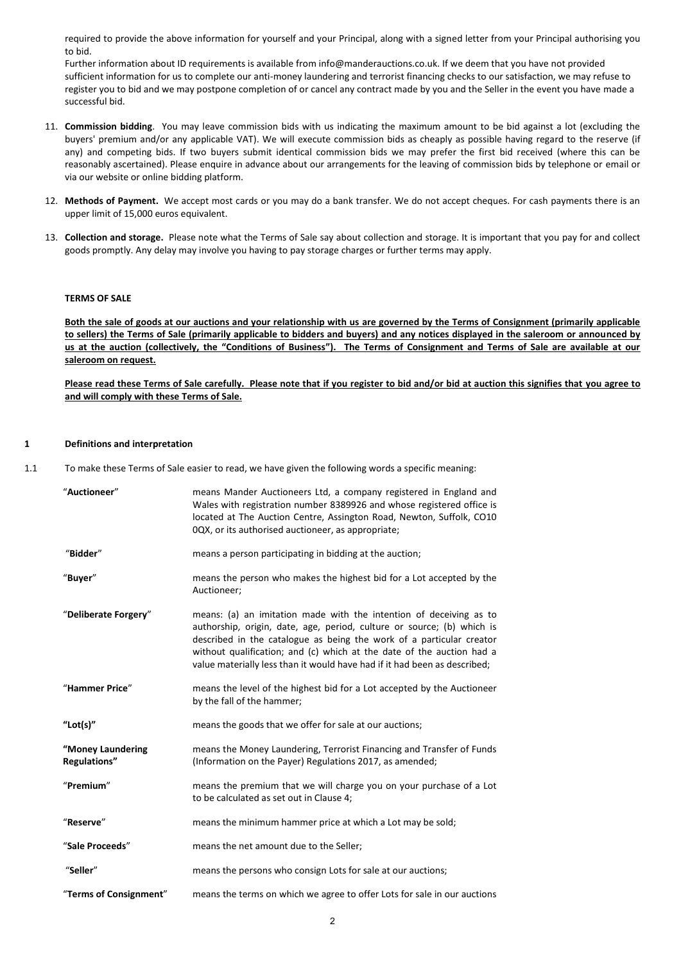required to provide the above information for yourself and your Principal, along with a signed letter from your Principal authorising you to bid.

Further information about ID requirements is available from info@manderauctions.co.uk. If we deem that you have not provided sufficient information for us to complete our anti-money laundering and terrorist financing checks to our satisfaction, we may refuse to register you to bid and we may postpone completion of or cancel any contract made by you and the Seller in the event you have made a successful bid.

- 11. **Commission bidding**. You may leave commission bids with us indicating the maximum amount to be bid against a lot (excluding the buyers' premium and/or any applicable VAT). We will execute commission bids as cheaply as possible having regard to the reserve (if any) and competing bids. If two buyers submit identical commission bids we may prefer the first bid received (where this can be reasonably ascertained). Please enquire in advance about our arrangements for the leaving of commission bids by telephone or email or via our website or online bidding platform.
- 12. **Methods of Payment.** We accept most cards or you may do a bank transfer. We do not accept cheques. For cash payments there is an upper limit of 15,000 euros equivalent.
- 13. **Collection and storage.** Please note what the Terms of Sale say about collection and storage. It is important that you pay for and collect goods promptly. Any delay may involve you having to pay storage charges or further terms may apply.

# **TERMS OF SALE**

**Both the sale of goods at our auctions and your relationship with us are governed by the Terms of Consignment (primarily applicable to sellers) the Terms of Sale (primarily applicable to bidders and buyers) and any notices displayed in the saleroom or announced by us at the auction (collectively, the "Conditions of Business"). The Terms of Consignment and Terms of Sale are available at our saleroom on request.**

**Please read these Terms of Sale carefully. Please note that if you register to bid and/or bid at auction this signifies that you agree to and will comply with these Terms of Sale.**

#### **1 Definitions and interpretation**

1.1 To make these Terms of Sale easier to read, we have given the following words a specific meaning:

| "Auctioneer"                             | means Mander Auctioneers Ltd, a company registered in England and<br>Wales with registration number 8389926 and whose registered office is<br>located at The Auction Centre, Assington Road, Newton, Suffolk, CO10<br>0QX, or its authorised auctioneer, as appropriate;                                                                                                   |
|------------------------------------------|----------------------------------------------------------------------------------------------------------------------------------------------------------------------------------------------------------------------------------------------------------------------------------------------------------------------------------------------------------------------------|
| "Bidder"                                 | means a person participating in bidding at the auction;                                                                                                                                                                                                                                                                                                                    |
| "Buyer"                                  | means the person who makes the highest bid for a Lot accepted by the<br>Auctioneer;                                                                                                                                                                                                                                                                                        |
| "Deliberate Forgery"                     | means: (a) an imitation made with the intention of deceiving as to<br>authorship, origin, date, age, period, culture or source; (b) which is<br>described in the catalogue as being the work of a particular creator<br>without qualification; and (c) which at the date of the auction had a<br>value materially less than it would have had if it had been as described; |
| "Hammer Price"                           | means the level of the highest bid for a Lot accepted by the Auctioneer<br>by the fall of the hammer;                                                                                                                                                                                                                                                                      |
| "Lot(s)"                                 | means the goods that we offer for sale at our auctions;                                                                                                                                                                                                                                                                                                                    |
| "Money Laundering<br><b>Regulations"</b> | means the Money Laundering, Terrorist Financing and Transfer of Funds<br>(Information on the Payer) Regulations 2017, as amended;                                                                                                                                                                                                                                          |
| "Premium"                                | means the premium that we will charge you on your purchase of a Lot<br>to be calculated as set out in Clause 4;                                                                                                                                                                                                                                                            |
| "Reserve"                                | means the minimum hammer price at which a Lot may be sold;                                                                                                                                                                                                                                                                                                                 |
| "Sale Proceeds"                          | means the net amount due to the Seller;                                                                                                                                                                                                                                                                                                                                    |
| "Seller"                                 | means the persons who consign Lots for sale at our auctions;                                                                                                                                                                                                                                                                                                               |
| "Terms of Consignment"                   | means the terms on which we agree to offer Lots for sale in our auctions                                                                                                                                                                                                                                                                                                   |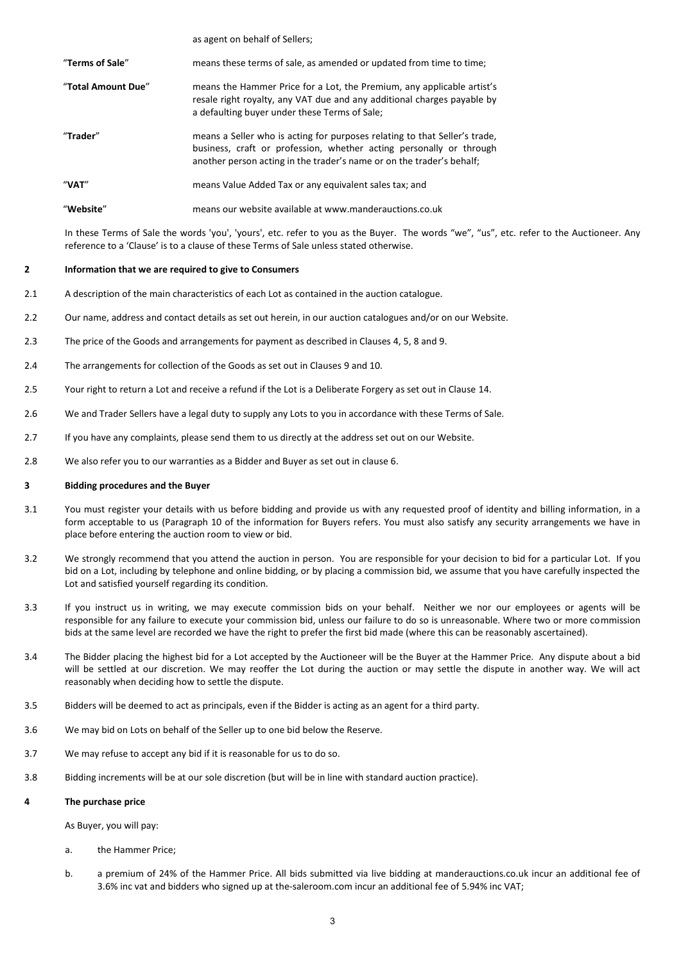|                    | as agent on behalf of Sellers;                                                                                                                                                                                             |
|--------------------|----------------------------------------------------------------------------------------------------------------------------------------------------------------------------------------------------------------------------|
| "Terms of Sale"    | means these terms of sale, as amended or updated from time to time;                                                                                                                                                        |
| "Total Amount Due" | means the Hammer Price for a Lot, the Premium, any applicable artist's<br>resale right royalty, any VAT due and any additional charges payable by<br>a defaulting buyer under these Terms of Sale;                         |
| "Trader"           | means a Seller who is acting for purposes relating to that Seller's trade,<br>business, craft or profession, whether acting personally or through<br>another person acting in the trader's name or on the trader's behalf; |
| "VAT"              | means Value Added Tax or any equivalent sales tax; and                                                                                                                                                                     |
| "Website"          | means our website available at www manderauctions courk                                                                                                                                                                    |

In these Terms of Sale the words 'you', 'yours', etc. refer to you as the Buyer. The words "we", "us", etc. refer to the Auctioneer. Any reference to a 'Clause' is to a clause of these Terms of Sale unless stated otherwise.

### **2 Information that we are required to give to Consumers**

- 2.1 A description of the main characteristics of each Lot as contained in the auction catalogue.
- 2.2 Our name, address and contact details as set out herein, in our auction catalogues and/or on our Website.
- 2.3 The price of the Goods and arrangements for payment as described in Clauses [4,](#page-2-0) [5,](#page-3-0) [8](#page-3-1) an[d 9.](#page-3-2)
- 2.4 The arrangements for collection of the Goods as set out in Clauses [9](#page-3-2) an[d 10.](#page-4-0)
- 2.5 Your right to return a Lot and receive a refund if the Lot is a Deliberate Forgery as set out in Claus[e 14.](#page-5-0)
- 2.6 We and Trader Sellers have a legal duty to supply any Lots to you in accordance with these Terms of Sale.
- 2.7 If you have any complaints, please send them to us directly at the address set out on our Website.
- 2.8 We also refer you to our warranties as a Bidder and Buyer as set out in clause 6.

## **3 Bidding procedures and the Buyer**

- 3.1 You must register your details with us before bidding and provide us with any requested proof of identity and billing information, in a form acceptable to us (Paragraph 10 of the information for Buyers refers. You must also satisfy any security arrangements we have in place before entering the auction room to view or bid.
- 3.2 We strongly recommend that you attend the auction in person. You are responsible for your decision to bid for a particular Lot. If you bid on a Lot, including by telephone and online bidding, or by placing a commission bid, we assume that you have carefully inspected the Lot and satisfied yourself regarding its condition.
- 3.3 If you instruct us in writing, we may execute commission bids on your behalf. Neither we nor our employees or agents will be responsible for any failure to execute your commission bid, unless our failure to do so is unreasonable. Where two or more commission bids at the same level are recorded we have the right to prefer the first bid made (where this can be reasonably ascertained).
- 3.4 The Bidder placing the highest bid for a Lot accepted by the Auctioneer will be the Buyer at the Hammer Price. Any dispute about a bid will be settled at our discretion. We may reoffer the Lot during the auction or may settle the dispute in another way. We will act reasonably when deciding how to settle the dispute.
- 3.5 Bidders will be deemed to act as principals, even if the Bidder is acting as an agent for a third party.
- 3.6 We may bid on Lots on behalf of the Seller up to one bid below the Reserve.
- 3.7 We may refuse to accept any bid if it is reasonable for us to do so.
- 3.8 Bidding increments will be at our sole discretion (but will be in line with standard auction practice).

### <span id="page-2-0"></span>**4 The purchase price**

As Buyer, you will pay:

- a. the Hammer Price;
- b. a premium of 24% of the Hammer Price. All bids submitted via live bidding at manderauctions.co.uk incur an additional fee of 3.6% inc vat and bidders who signed up at the-saleroom.com incur an additional fee of 5.94% inc VAT;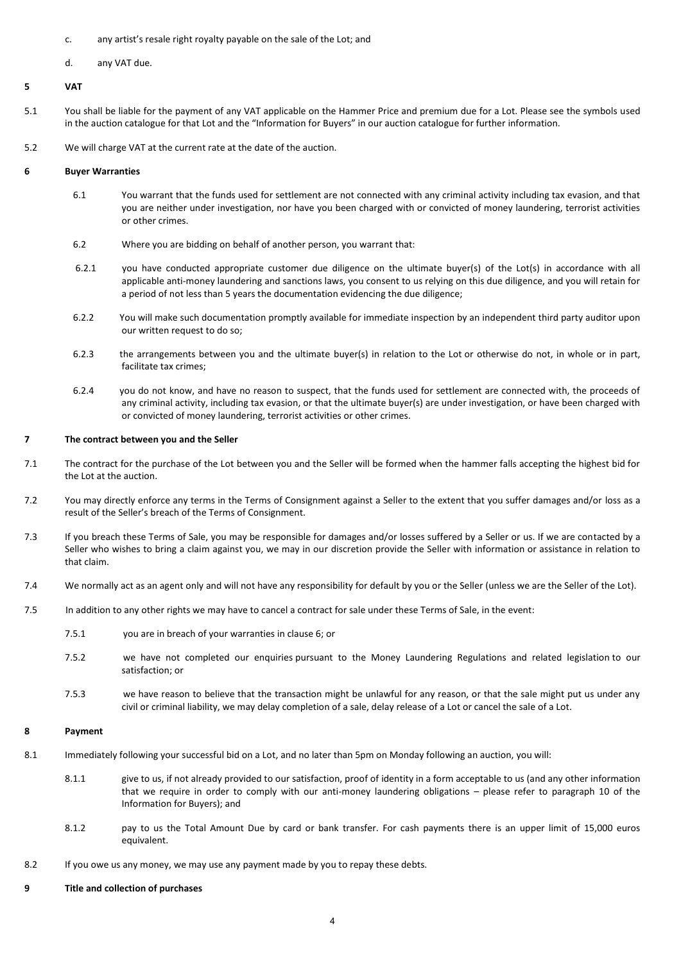- c. any artist's resale right royalty payable on the sale of the Lot; and
- d. any VAT due.

# <span id="page-3-0"></span>**5 VAT**

- 5.1 You shall be liable for the payment of any VAT applicable on the Hammer Price and premium due for a Lot. Please see the symbols used in the auction catalogue for that Lot and the "Information for Buyers" in our auction catalogue for further information.
- 5.2 We will charge VAT at the current rate at the date of the auction.

# **6 Buyer Warranties**

- 6.1 You warrant that the funds used for settlement are not connected with any criminal activity including tax evasion, and that you are neither under investigation, nor have you been charged with or convicted of money laundering, terrorist activities or other crimes.
- 6.2 Where you are bidding on behalf of another person, you warrant that:
- 6.2.1 you have conducted appropriate customer due diligence on the ultimate buyer(s) of the Lot(s) in accordance with all applicable anti-money laundering and sanctions laws, you consent to us relying on this due diligence, and you will retain for a period of not less than 5 years the documentation evidencing the due diligence;
- 6.2.2 You will make such documentation promptly available for immediate inspection by an independent third party auditor upon our written request to do so;
- 6.2.3 the arrangements between you and the ultimate buyer(s) in relation to the Lot or otherwise do not, in whole or in part, facilitate tax crimes;
- 6.2.4 you do not know, and have no reason to suspect, that the funds used for settlement are connected with, the proceeds of any criminal activity, including tax evasion, or that the ultimate buyer(s) are under investigation, or have been charged with or convicted of money laundering, terrorist activities or other crimes.

# **7 The contract between you and the Seller**

- 7.1 The contract for the purchase of the Lot between you and the Seller will be formed when the hammer falls accepting the highest bid for the Lot at the auction.
- 7.2 You may directly enforce any terms in the Terms of Consignment against a Seller to the extent that you suffer damages and/or loss as a result of the Seller's breach of the Terms of Consignment.
- 7.3 If you breach these Terms of Sale, you may be responsible for damages and/or losses suffered by a Seller or us. If we are contacted by a Seller who wishes to bring a claim against you, we may in our discretion provide the Seller with information or assistance in relation to that claim.
- 7.4 We normally act as an agent only and will not have any responsibility for default by you or the Seller (unless we are the Seller of the Lot).
- 7.5 In addition to any other rights we may have to cancel a contract for sale under these Terms of Sale, in the event:

7.5.1 you are in breach of your warranties in clause 6; or

- 7.5.2 we have not completed our enquiries pursuant to the Money Laundering Regulations and related legislation to our satisfaction; or
- 7.5.3 we have reason to believe that the transaction might be unlawful for any reason, or that the sale might put us under any civil or criminal liability, we may delay completion of a sale, delay release of a Lot or cancel the sale of a Lot.

# <span id="page-3-1"></span>**8 Payment**

- 8.1 Immediately following your successful bid on a Lot, and no later than 5pm on Monday following an auction, you will:
	- 8.1.1 give to us, if not already provided to our satisfaction, proof of identity in a form acceptable to us (and any other information that we require in order to comply with our anti-money laundering obligations – please refer to paragraph 10 of the Information for Buyers); and
	- 8.1.2 pay to us the Total Amount Due by card or bank transfer. For cash payments there is an upper limit of 15,000 euros equivalent.
- 8.2 If you owe us any money, we may use any payment made by you to repay these debts.

### <span id="page-3-2"></span>**9 Title and collection of purchases**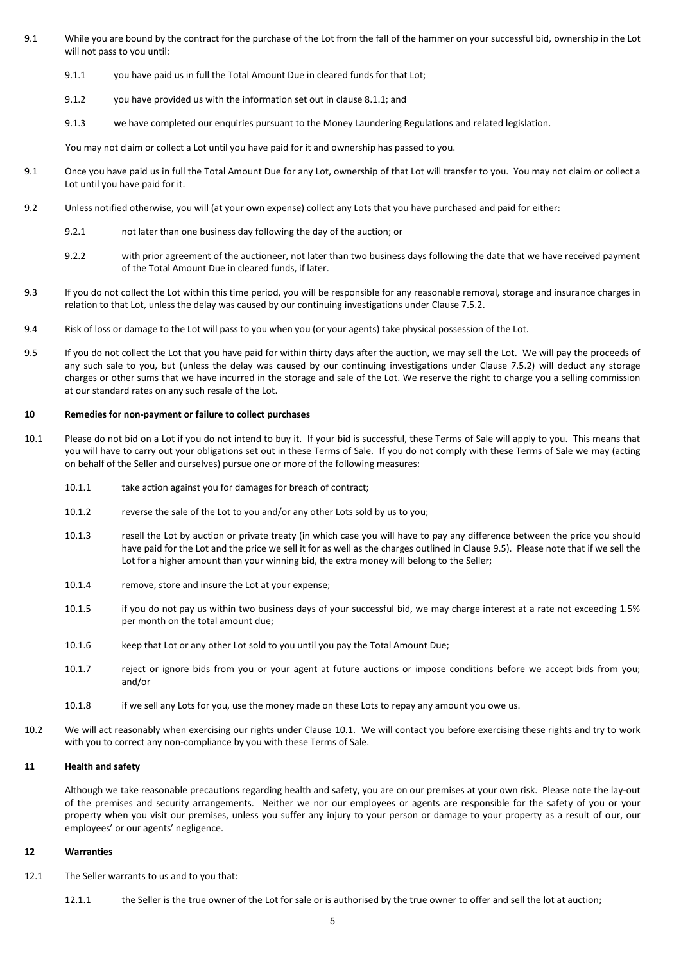- 9.1 While you are bound by the contract for the purchase of the Lot from the fall of the hammer on your successful bid, ownership in the Lot will not pass to you until:
	- 9.1.1 you have paid us in full the Total Amount Due in cleared funds for that Lot;
	- 9.1.2 you have provided us with the information set out in clause 8.1.1; and
	- 9.1.3 we have completed our enquiries pursuant to the Money Laundering Regulations and related legislation.

You may not claim or collect a Lot until you have paid for it and ownership has passed to you.

- 9.1 Once you have paid us in full the Total Amount Due for any Lot, ownership of that Lot will transfer to you. You may not claim or collect a Lot until you have paid for it.
- 9.2 Unless notified otherwise, you will (at your own expense) collect any Lots that you have purchased and paid for either:
	- 9.2.1 not later than one business day following the day of the auction; or
	- 9.2.2 with prior agreement of the auctioneer, not later than two business days following the date that we have received payment of the Total Amount Due in cleared funds, if later.
- 9.3 If you do not collect the Lot within this time period, you will be responsible for any reasonable removal, storage and insurance charges in relation to that Lot, unless the delay was caused by our continuing investigations under Clause 7.5.2.
- 9.4 Risk of loss or damage to the Lot will pass to you when you (or your agents) take physical possession of the Lot.
- <span id="page-4-1"></span>9.5 If you do not collect the Lot that you have paid for within thirty days after the auction, we may sell the Lot. We will pay the proceeds of any such sale to you, but (unless the delay was caused by our continuing investigations under Clause 7.5.2) will deduct any storage charges or other sums that we have incurred in the storage and sale of the Lot. We reserve the right to charge you a selling commission at our standard rates on any such resale of the Lot.

# <span id="page-4-0"></span>**10 Remedies for non-payment or failure to collect purchases**

- <span id="page-4-2"></span>10.1 Please do not bid on a Lot if you do not intend to buy it. If your bid is successful, these Terms of Sale will apply to you. This means that you will have to carry out your obligations set out in these Terms of Sale. If you do not comply with these Terms of Sale we may (acting on behalf of the Seller and ourselves) pursue one or more of the following measures:
	- 10.1.1 take action against you for damages for breach of contract;
	- 10.1.2 reverse the sale of the Lot to you and/or any other Lots sold by us to you;
	- 10.1.3 resell the Lot by auction or private treaty (in which case you will have to pay any difference between the price you should have paid for the Lot and the price we sell it for as well as the charges outlined in Claus[e 9.5\)](#page-4-1). Please note that if we sell the Lot for a higher amount than your winning bid, the extra money will belong to the Seller;
	- 10.1.4 remove, store and insure the Lot at your expense;
	- 10.1.5 if you do not pay us within two business days of your successful bid, we may charge interest at a rate not exceeding 1.5% per month on the total amount due;
	- 10.1.6 keep that Lot or any other Lot sold to you until you pay the Total Amount Due;
	- 10.1.7 reject or ignore bids from you or your agent at future auctions or impose conditions before we accept bids from you; and/or
	- 10.1.8 if we sell any Lots for you, use the money made on these Lots to repay any amount you owe us.
- 10.2 We will act reasonably when exercising our rights under Clause [10.1.](#page-4-2) We will contact you before exercising these rights and try to work with you to correct any non-compliance by you with these Terms of Sale.

# **11 Health and safety**

Although we take reasonable precautions regarding health and safety, you are on our premises at your own risk. Please note the lay-out of the premises and security arrangements. Neither we nor our employees or agents are responsible for the safety of you or your property when you visit our premises, unless you suffer any injury to your person or damage to your property as a result of our, our employees' or our agents' negligence.

### **12 Warranties**

- <span id="page-4-3"></span>12.1 The Seller warrants to us and to you that:
	- 12.1.1 the Seller is the true owner of the Lot for sale or is authorised by the true owner to offer and sell the lot at auction;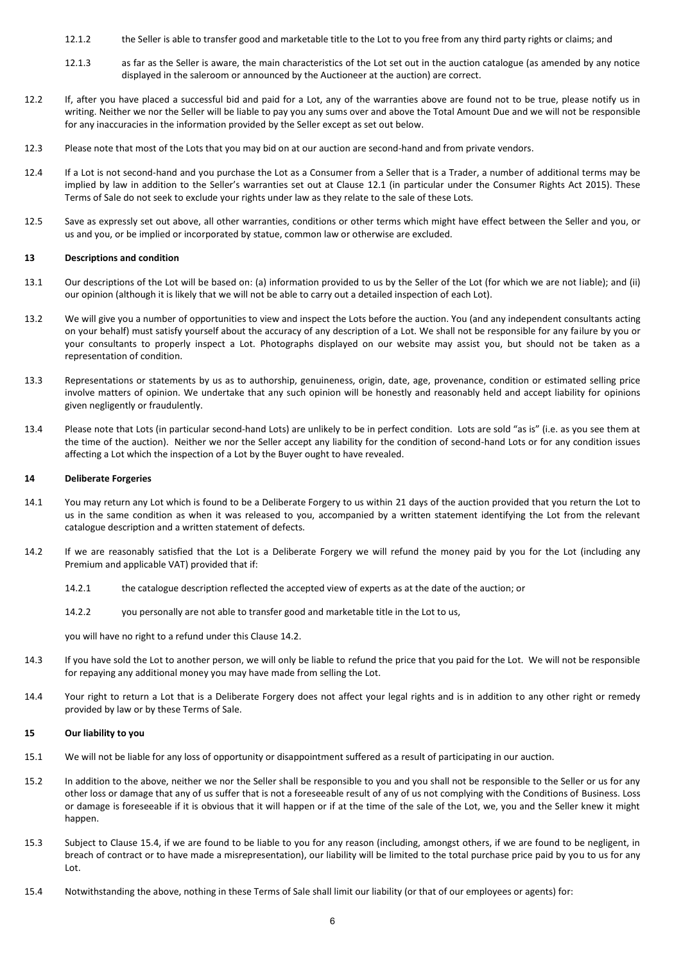- 12.1.2 the Seller is able to transfer good and marketable title to the Lot to you free from any third party rights or claims; and
- 12.1.3 as far as the Seller is aware, the main characteristics of the Lot set out in the auction catalogue (as amended by any notice displayed in the saleroom or announced by the Auctioneer at the auction) are correct.
- 12.2 If, after you have placed a successful bid and paid for a Lot, any of the warranties above are found not to be true, please notify us in writing. Neither we nor the Seller will be liable to pay you any sums over and above the Total Amount Due and we will not be responsible for any inaccuracies in the information provided by the Seller except as set out below.
- 12.3 Please note that most of the Lots that you may bid on at our auction are second-hand and from private vendors.
- 12.4 If a Lot is not second-hand and you purchase the Lot as a Consumer from a Seller that is a Trader, a number of additional terms may be implied by law in addition to the Seller's warranties set out at Clause [12.1](#page-4-3) (in particular under the Consumer Rights Act 2015). These Terms of Sale do not seek to exclude your rights under law as they relate to the sale of these Lots.
- 12.5 Save as expressly set out above, all other warranties, conditions or other terms which might have effect between the Seller and you, or us and you, or be implied or incorporated by statue, common law or otherwise are excluded.

# **13 Descriptions and condition**

- 13.1 Our descriptions of the Lot will be based on: (a) information provided to us by the Seller of the Lot (for which we are not liable); and (ii) our opinion (although it is likely that we will not be able to carry out a detailed inspection of each Lot).
- 13.2 We will give you a number of opportunities to view and inspect the Lots before the auction. You (and any independent consultants acting on your behalf) must satisfy yourself about the accuracy of any description of a Lot. We shall not be responsible for any failure by you or your consultants to properly inspect a Lot. Photographs displayed on our website may assist you, but should not be taken as a representation of condition.
- 13.3 Representations or statements by us as to authorship, genuineness, origin, date, age, provenance, condition or estimated selling price involve matters of opinion. We undertake that any such opinion will be honestly and reasonably held and accept liability for opinions given negligently or fraudulently.
- 13.4 Please note that Lots (in particular second-hand Lots) are unlikely to be in perfect condition. Lots are sold "as is" (i.e. as you see them at the time of the auction). Neither we nor the Seller accept any liability for the condition of second-hand Lots or for any condition issues affecting a Lot which the inspection of a Lot by the Buyer ought to have revealed.

### <span id="page-5-0"></span>**14 Deliberate Forgeries**

- 14.1 You may return any Lot which is found to be a Deliberate Forgery to us within 21 days of the auction provided that you return the Lot to us in the same condition as when it was released to you, accompanied by a written statement identifying the Lot from the relevant catalogue description and a written statement of defects.
- <span id="page-5-1"></span>14.2 If we are reasonably satisfied that the Lot is a Deliberate Forgery we will refund the money paid by you for the Lot (including any Premium and applicable VAT) provided that if:
	- 14.2.1 the catalogue description reflected the accepted view of experts as at the date of the auction; or
	- 14.2.2 you personally are not able to transfer good and marketable title in the Lot to us,

you will have no right to a refund under this Claus[e 14.2.](#page-5-1)

- 14.3 If you have sold the Lot to another person, we will only be liable to refund the price that you paid for the Lot. We will not be responsible for repaying any additional money you may have made from selling the Lot.
- 14.4 Your right to return a Lot that is a Deliberate Forgery does not affect your legal rights and is in addition to any other right or remedy provided by law or by these Terms of Sale.

### **15 Our liability to you**

- 15.1 We will not be liable for any loss of opportunity or disappointment suffered as a result of participating in our auction.
- 15.2 In addition to the above, neither we nor the Seller shall be responsible to you and you shall not be responsible to the Seller or us for any other loss or damage that any of us suffer that is not a foreseeable result of any of us not complying with the Conditions of Business. Loss or damage is foreseeable if it is obvious that it will happen or if at the time of the sale of the Lot, we, you and the Seller knew it might happen.
- 15.3 Subject to Clause [15.4,](#page-5-2) if we are found to be liable to you for any reason (including, amongst others, if we are found to be negligent, in breach of contract or to have made a misrepresentation), our liability will be limited to the total purchase price paid by you to us for any Lot.
- <span id="page-5-2"></span>15.4 Notwithstanding the above, nothing in these Terms of Sale shall limit our liability (or that of our employees or agents) for: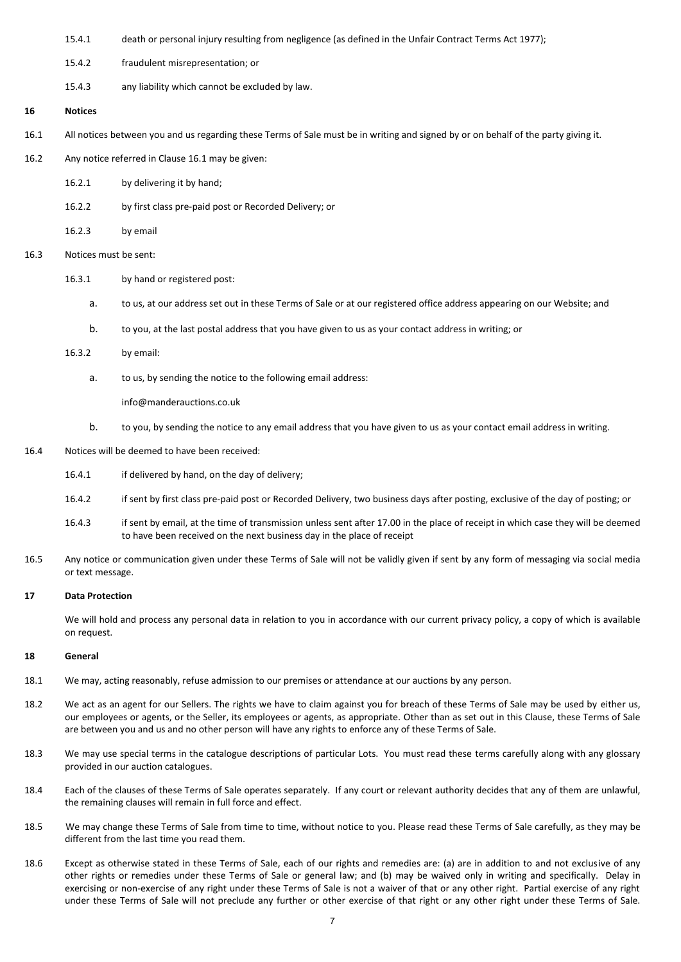- 15.4.1 death or personal injury resulting from negligence (as defined in the Unfair Contract Terms Act 1977);
- 15.4.2 fraudulent misrepresentation; or
- 15.4.3 any liability which cannot be excluded by law.

# **16 Notices**

- <span id="page-6-0"></span>16.1 All notices between you and us regarding these Terms of Sale must be in writing and signed by or on behalf of the party giving it.
- 16.2 Any notice referred in Clause [16.1](#page-6-0) may be given:
	- 16.2.1 by delivering it by hand;
	- 16.2.2 by first class pre-paid post or Recorded Delivery; or
	- 16.2.3 by email
- 16.3 Notices must be sent:
	- 16.3.1 by hand or registered post:
		- a. to us, at our address set out in these Terms of Sale or at our registered office address appearing on our Website; and
		- b. to you, at the last postal address that you have given to us as your contact address in writing; or

# 16.3.2 by email:

a. to us, by sending the notice to the following email address:

info@manderauctions.co.uk

- b. to you, by sending the notice to any email address that you have given to us as your contact email address in writing.
- 16.4 Notices will be deemed to have been received:
	- 16.4.1 if delivered by hand, on the day of delivery;
	- 16.4.2 if sent by first class pre-paid post or Recorded Delivery, two business days after posting, exclusive of the day of posting; or
	- 16.4.3 if sent by email, at the time of transmission unless sent after 17.00 in the place of receipt in which case they will be deemed to have been received on the next business day in the place of receipt
- 16.5 Any notice or communication given under these Terms of Sale will not be validly given if sent by any form of messaging via social media or text message.

# **17 Data Protection**

We will hold and process any personal data in relation to you in accordance with our current privacy policy, a copy of which is available on request.

### **18 General**

- 18.1 We may, acting reasonably, refuse admission to our premises or attendance at our auctions by any person.
- 18.2 We act as an agent for our Sellers. The rights we have to claim against you for breach of these Terms of Sale may be used by either us, our employees or agents, or the Seller, its employees or agents, as appropriate. Other than as set out in this Clause, these Terms of Sale are between you and us and no other person will have any rights to enforce any of these Terms of Sale.
- 18.3 We may use special terms in the catalogue descriptions of particular Lots. You must read these terms carefully along with any glossary provided in our auction catalogues.
- 18.4 Each of the clauses of these Terms of Sale operates separately. If any court or relevant authority decides that any of them are unlawful, the remaining clauses will remain in full force and effect.
- 18.5 We may change these Terms of Sale from time to time, without notice to you. Please read these Terms of Sale carefully, as they may be different from the last time you read them.
- 18.6 Except as otherwise stated in these Terms of Sale, each of our rights and remedies are: (a) are in addition to and not exclusive of any other rights or remedies under these Terms of Sale or general law; and (b) may be waived only in writing and specifically. Delay in exercising or non-exercise of any right under these Terms of Sale is not a waiver of that or any other right. Partial exercise of any right under these Terms of Sale will not preclude any further or other exercise of that right or any other right under these Terms of Sale.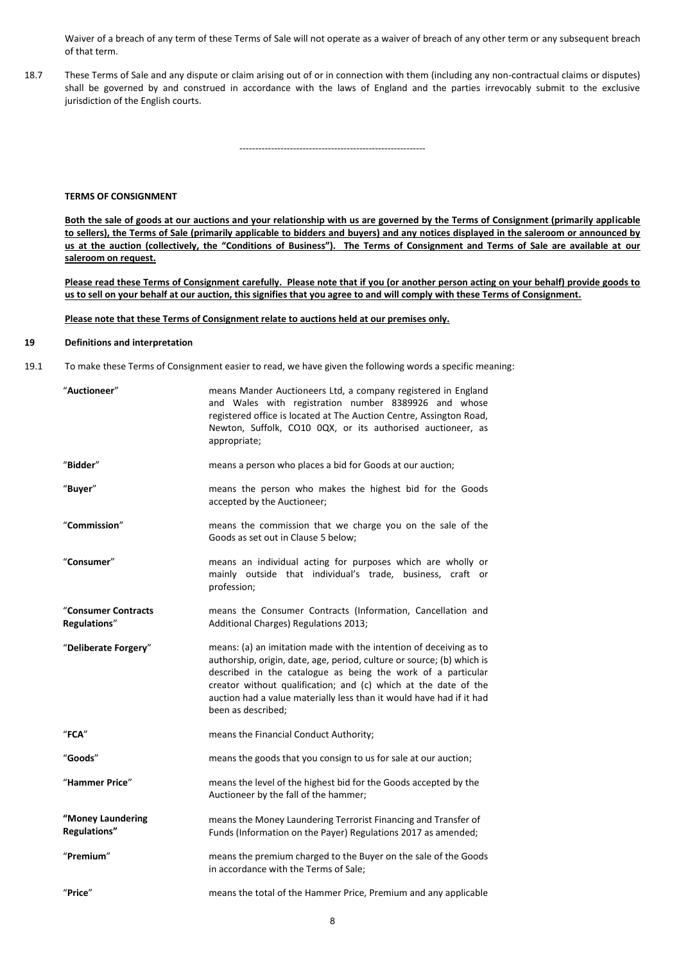Waiver of a breach of any term of these Terms of Sale will not operate as a waiver of breach of any other term or any subsequent breach of that term.

18.7 These Terms of Sale and any dispute or claim arising out of or in connection with them (including any non-contractual claims or disputes) shall be governed by and construed in accordance with the laws of England and the parties irrevocably submit to the exclusive jurisdiction of the English courts.

-----------------------------------------------------------

# **TERMS OF CONSIGNMENT**

**Both the sale of goods at our auctions and your relationship with us are governed by the Terms of Consignment (primarily applicable to sellers), the Terms of Sale (primarily applicable to bidders and buyers) and any notices displayed in the saleroom or announced by us at the auction (collectively, the "Conditions of Business"). The Terms of Consignment and Terms of Sale are available at our saleroom on request.**

**Please read these Terms of Consignment carefully. Please note that if you (or another person acting on your behalf) provide goods to us to sell on your behalf at our auction, this signifies that you agree to and will comply with these Terms of Consignment.**

# **Please note that these Terms of Consignment relate to auctions held at our premises only.**

### **19 Definitions and interpretation**

19.1 To make these Terms of Consignment easier to read, we have given the following words a specific meaning:

| "Auctioneer"                        | means Mander Auctioneers Ltd, a company registered in England<br>and Wales with registration number 8389926 and whose<br>registered office is located at The Auction Centre, Assington Road,<br>Newton, Suffolk, CO10 0QX, or its authorised auctioneer, as<br>appropriate;                                                                                                   |
|-------------------------------------|-------------------------------------------------------------------------------------------------------------------------------------------------------------------------------------------------------------------------------------------------------------------------------------------------------------------------------------------------------------------------------|
| "Bidder"                            | means a person who places a bid for Goods at our auction;                                                                                                                                                                                                                                                                                                                     |
| "Buyer"                             | means the person who makes the highest bid for the Goods<br>accepted by the Auctioneer;                                                                                                                                                                                                                                                                                       |
| "Commission"                        | means the commission that we charge you on the sale of the<br>Goods as set out in Clause 5 below;                                                                                                                                                                                                                                                                             |
| "Consumer"                          | means an individual acting for purposes which are wholly or<br>mainly outside that individual's trade, business, craft or<br>profession;                                                                                                                                                                                                                                      |
| "Consumer Contracts<br>Regulations" | means the Consumer Contracts (Information, Cancellation and<br>Additional Charges) Regulations 2013;                                                                                                                                                                                                                                                                          |
| "Deliberate Forgery"                | means: (a) an imitation made with the intention of deceiving as to<br>authorship, origin, date, age, period, culture or source; (b) which is<br>described in the catalogue as being the work of a particular<br>creator without qualification; and (c) which at the date of the<br>auction had a value materially less than it would have had if it had<br>been as described; |
| $"$ FCA $"$                         | means the Financial Conduct Authority;                                                                                                                                                                                                                                                                                                                                        |
| "Goods"                             | means the goods that you consign to us for sale at our auction;                                                                                                                                                                                                                                                                                                               |
| "Hammer Price"                      | means the level of the highest bid for the Goods accepted by the<br>Auctioneer by the fall of the hammer;                                                                                                                                                                                                                                                                     |
| "Money Laundering<br>Regulations"   | means the Money Laundering Terrorist Financing and Transfer of<br>Funds (Information on the Payer) Regulations 2017 as amended;                                                                                                                                                                                                                                               |
| "Premium"                           | means the premium charged to the Buyer on the sale of the Goods<br>in accordance with the Terms of Sale;                                                                                                                                                                                                                                                                      |
|                                     |                                                                                                                                                                                                                                                                                                                                                                               |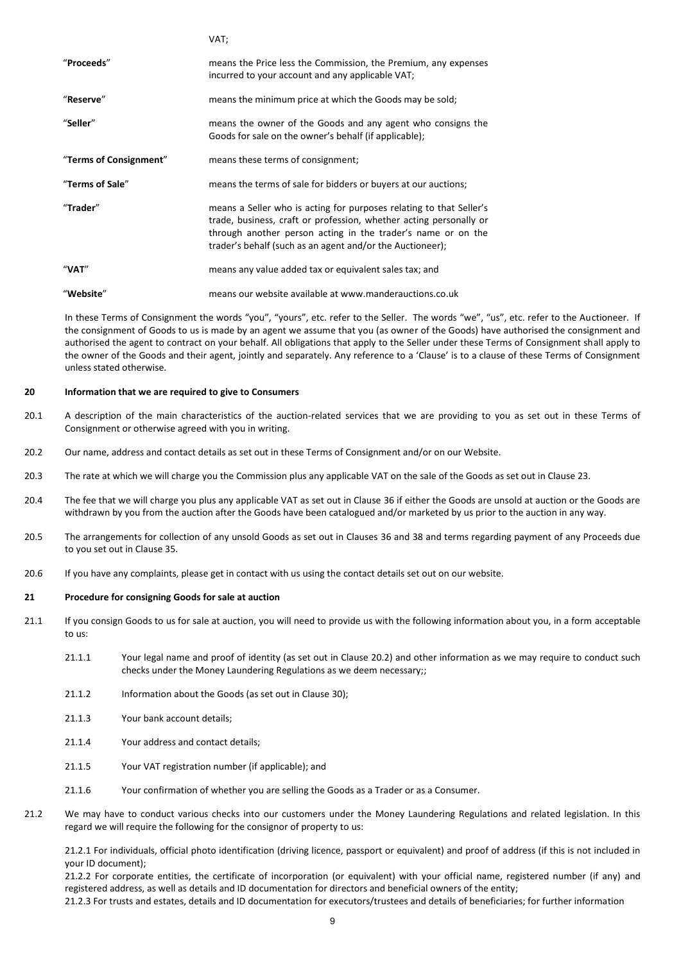|                        | VAI,                                                                                                                                                                                                                                                                   |
|------------------------|------------------------------------------------------------------------------------------------------------------------------------------------------------------------------------------------------------------------------------------------------------------------|
| "Proceeds"             | means the Price less the Commission, the Premium, any expenses<br>incurred to your account and any applicable VAT;                                                                                                                                                     |
| "Reserve"              | means the minimum price at which the Goods may be sold;                                                                                                                                                                                                                |
| "Seller"               | means the owner of the Goods and any agent who consigns the<br>Goods for sale on the owner's behalf (if applicable);                                                                                                                                                   |
| "Terms of Consignment" | means these terms of consignment;                                                                                                                                                                                                                                      |
| "Terms of Sale"        | means the terms of sale for bidders or buyers at our auctions;                                                                                                                                                                                                         |
| "Trader"               | means a Seller who is acting for purposes relating to that Seller's<br>trade, business, craft or profession, whether acting personally or<br>through another person acting in the trader's name or on the<br>trader's behalf (such as an agent and/or the Auctioneer); |
| "VAT"                  | means any value added tax or equivalent sales tax; and                                                                                                                                                                                                                 |
| "Website"              | means our website available at www.manderauctions.co.uk                                                                                                                                                                                                                |

 $VAT$ 

In these Terms of Consignment the words "you", "yours", etc. refer to the Seller. The words "we", "us", etc. refer to the Auctioneer. If the consignment of Goods to us is made by an agent we assume that you (as owner of the Goods) have authorised the consignment and authorised the agent to contract on your behalf. All obligations that apply to the Seller under these Terms of Consignment shall apply to the owner of the Goods and their agent, jointly and separately. Any reference to a 'Clause' is to a clause of these Terms of Consignment unless stated otherwise.

### **20 Information that we are required to give to Consumers**

- 20.1 A description of the main characteristics of the auction-related services that we are providing to you as set out in these Terms of Consignment or otherwise agreed with you in writing.
- 20.2 Our name, address and contact details as set out in these Terms of Consignment and/or on our Website.
- 20.3 The rate at which we will charge you the Commission plus any applicable VAT on the sale of the Goods as set out in Claus[e 23.](#page-9-0)
- 20.4 The fee that we will charge you plus any applicable VAT as set out in Clause [36](#page-11-0) if either the Goods are unsold at auction or the Goods are withdrawn by you from the auction after the Goods have been catalogued and/or marketed by us prior to the auction in any way.
- 20.5 The arrangements for collection of any unsold Goods as set out in Clauses [36](#page-11-0) and [38](#page-11-1) and terms regarding payment of any Proceeds due to you set out in Claus[e 35.](#page-11-2)
- 20.6 If you have any complaints, please get in contact with us using the contact details set out on our website.

## **21 Procedure for consigning Goods for sale at auction**

- 21.1 If you consign Goods to us for sale at auction, you will need to provide us with the following information about you, in a form acceptable to us:
	- 21.1.1 Your legal name and proof of identity (as set out in Clause 20.2) and other information as we may require to conduct such checks under the Money Laundering Regulations as we deem necessary;;
	- 21.1.2 Information about the Goods (as set out in Claus[e 30\)](#page-10-0);
	- 21.1.3 Your bank account details;
	- 21.1.4 Your address and contact details;
	- 21.1.5 Your VAT registration number (if applicable); and
	- 21.1.6 Your confirmation of whether you are selling the Goods as a Trader or as a Consumer.
- 21.2 We may have to conduct various checks into our customers under the Money Laundering Regulations and related legislation. In this regard we will require the following for the consignor of property to us:

21.2.1 For individuals, official photo identification (driving licence, passport or equivalent) and proof of address (if this is not included in your ID document);

21.2.2 For corporate entities, the certificate of incorporation (or equivalent) with your official name, registered number (if any) and registered address, as well as details and ID documentation for directors and beneficial owners of the entity;

21.2.3 For trusts and estates, details and ID documentation for executors/trustees and details of beneficiaries; for further information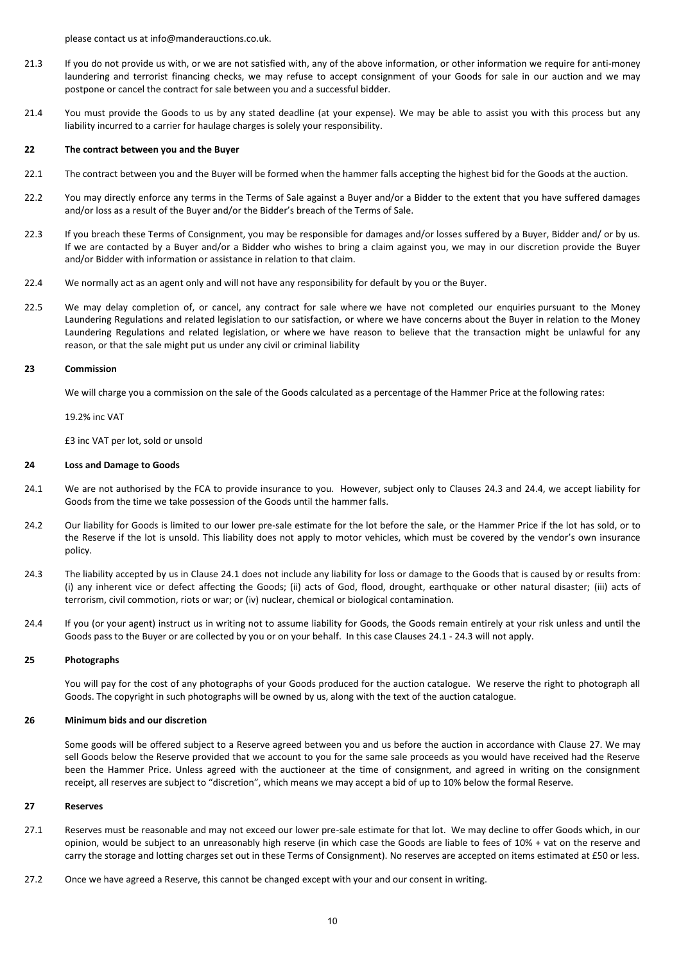please contact us at info@manderauctions.co.uk.

- 21.3 If you do not provide us with, or we are not satisfied with, any of the above information, or other information we require for anti-money laundering and terrorist financing checks, we may refuse to accept consignment of your Goods for sale in our auction and we may postpone or cancel the contract for sale between you and a successful bidder.
- 21.4 You must provide the Goods to us by any stated deadline (at your expense). We may be able to assist you with this process but any liability incurred to a carrier for haulage charges is solely your responsibility.

### **22 The contract between you and the Buyer**

- 22.1 The contract between you and the Buyer will be formed when the hammer falls accepting the highest bid for the Goods at the auction.
- 22.2 You may directly enforce any terms in the Terms of Sale against a Buyer and/or a Bidder to the extent that you have suffered damages and/or loss as a result of the Buyer and/or the Bidder's breach of the Terms of Sale.
- 22.3 If you breach these Terms of Consignment, you may be responsible for damages and/or losses suffered by a Buyer, Bidder and/ or by us. If we are contacted by a Buyer and/or a Bidder who wishes to bring a claim against you, we may in our discretion provide the Buyer and/or Bidder with information or assistance in relation to that claim.
- 22.4 We normally act as an agent only and will not have any responsibility for default by you or the Buyer.
- 22.5 We may delay completion of, or cancel, any contract for sale where we have not completed our enquiries pursuant to the Money Laundering Regulations and related legislation to our satisfaction, or where we have concerns about the Buyer in relation to the Money Laundering Regulations and related legislation, or where we have reason to believe that the transaction might be unlawful for any reason, or that the sale might put us under any civil or criminal liability

# <span id="page-9-0"></span>**23 Commission**

We will charge you a commission on the sale of the Goods calculated as a percentage of the Hammer Price at the following rates:

19.2% inc VAT

£3 inc VAT per lot, sold or unsold

#### **24 Loss and Damage to Goods**

- <span id="page-9-3"></span>24.1 We are not authorised by the FCA to provide insurance to you. However, subject only to Clauses [24.3](#page-9-1) and [24.4,](#page-9-2) we accept liability for Goods from the time we take possession of the Goods until the hammer falls.
- 24.2 Our liability for Goods is limited to our lower pre-sale estimate for the lot before the sale, or the Hammer Price if the lot has sold, or to the Reserve if the lot is unsold. This liability does not apply to motor vehicles, which must be covered by the vendor's own insurance policy.
- <span id="page-9-1"></span>24.3 The liability accepted by us in Clause [24.1](#page-9-3) does not include any liability for loss or damage to the Goods that is caused by or results from: (i) any inherent vice or defect affecting the Goods; (ii) acts of God, flood, drought, earthquake or other natural disaster; (iii) acts of terrorism, civil commotion, riots or war; or (iv) nuclear, chemical or biological contamination.
- <span id="page-9-2"></span>24.4 If you (or your agent) instruct us in writing not to assume liability for Goods, the Goods remain entirely at your risk unless and until the Goods pass to the Buyer or are collected by you or on your behalf. In this case Clauses [24.1](#page-9-3) - [24.3](#page-9-1) will not apply.

# **25 Photographs**

You will pay for the cost of any photographs of your Goods produced for the auction catalogue. We reserve the right to photograph all Goods. The copyright in such photographs will be owned by us, along with the text of the auction catalogue.

#### **26 Minimum bids and our discretion**

Some goods will be offered subject to a Reserve agreed between you and us before the auction in accordance with Clause [27.](#page-9-4) We may sell Goods below the Reserve provided that we account to you for the same sale proceeds as you would have received had the Reserve been the Hammer Price. Unless agreed with the auctioneer at the time of consignment, and agreed in writing on the consignment receipt, all reserves are subject to "discretion", which means we may accept a bid of up to 10% below the formal Reserve.

## <span id="page-9-4"></span>**27 Reserves**

- 27.1 Reserves must be reasonable and may not exceed our lower pre-sale estimate for that lot. We may decline to offer Goods which, in our opinion, would be subject to an unreasonably high reserve (in which case the Goods are liable to fees of 10% + vat on the reserve and carry the storage and lotting charges set out in these Terms of Consignment). No reserves are accepted on items estimated at £50 or less.
- 27.2 Once we have agreed a Reserve, this cannot be changed except with your and our consent in writing.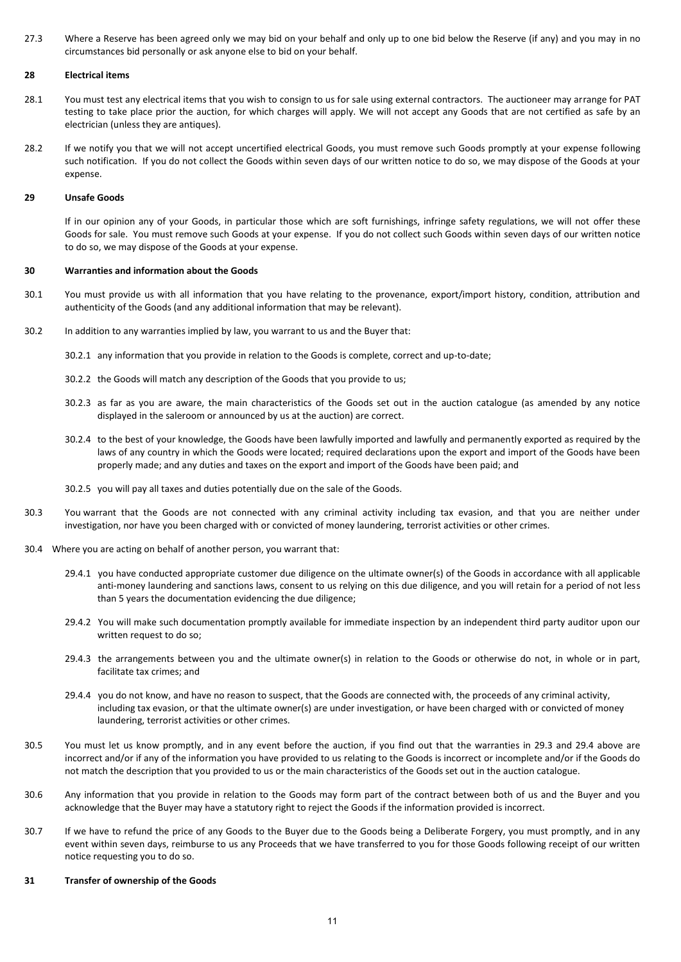27.3 Where a Reserve has been agreed only we may bid on your behalf and only up to one bid below the Reserve (if any) and you may in no circumstances bid personally or ask anyone else to bid on your behalf.

### **28 Electrical items**

- 28.1 You must test any electrical items that you wish to consign to us for sale using external contractors. The auctioneer may arrange for PAT testing to take place prior the auction, for which charges will apply. We will not accept any Goods that are not certified as safe by an electrician (unless they are antiques).
- 28.2 If we notify you that we will not accept uncertified electrical Goods, you must remove such Goods promptly at your expense following such notification. If you do not collect the Goods within seven days of our written notice to do so, we may dispose of the Goods at your expense.

#### **29 Unsafe Goods**

If in our opinion any of your Goods, in particular those which are soft furnishings, infringe safety regulations, we will not offer these Goods for sale. You must remove such Goods at your expense. If you do not collect such Goods within seven days of our written notice to do so, we may dispose of the Goods at your expense.

### <span id="page-10-0"></span>**30 Warranties and information about the Goods**

- 30.1 You must provide us with all information that you have relating to the provenance, export/import history, condition, attribution and authenticity of the Goods (and any additional information that may be relevant).
- 30.2 In addition to any warranties implied by law, you warrant to us and the Buyer that:
	- 30.2.1 any information that you provide in relation to the Goods is complete, correct and up-to-date;
	- 30.2.2 the Goods will match any description of the Goods that you provide to us;
	- 30.2.3 as far as you are aware, the main characteristics of the Goods set out in the auction catalogue (as amended by any notice displayed in the saleroom or announced by us at the auction) are correct.
	- 30.2.4 to the best of your knowledge, the Goods have been lawfully imported and lawfully and permanently exported as required by the laws of any country in which the Goods were located; required declarations upon the export and import of the Goods have been properly made; and any duties and taxes on the export and import of the Goods have been paid; and
	- 30.2.5 you will pay all taxes and duties potentially due on the sale of the Goods.
- 30.3 You warrant that the Goods are not connected with any criminal activity including tax evasion, and that you are neither under investigation, nor have you been charged with or convicted of money laundering, terrorist activities or other crimes.
- 30.4 Where you are acting on behalf of another person, you warrant that:
	- 29.4.1 you have conducted appropriate customer due diligence on the ultimate owner(s) of the Goods in accordance with all applicable anti-money laundering and sanctions laws, consent to us relying on this due diligence, and you will retain for a period of not less than 5 years the documentation evidencing the due diligence;
	- 29.4.2 You will make such documentation promptly available for immediate inspection by an independent third party auditor upon our written request to do so;
	- 29.4.3 the arrangements between you and the ultimate owner(s) in relation to the Goods or otherwise do not, in whole or in part, facilitate tax crimes; and
	- 29.4.4 you do not know, and have no reason to suspect, that the Goods are connected with, the proceeds of any criminal activity, including tax evasion, or that the ultimate owner(s) are under investigation, or have been charged with or convicted of money laundering, terrorist activities or other crimes.
- 30.5 You must let us know promptly, and in any event before the auction, if you find out that the warranties in 29.3 and 29.4 above are incorrect and/or if any of the information you have provided to us relating to the Goods is incorrect or incomplete and/or if the Goods do not match the description that you provided to us or the main characteristics of the Goods set out in the auction catalogue.
- 30.6 Any information that you provide in relation to the Goods may form part of the contract between both of us and the Buyer and you acknowledge that the Buyer may have a statutory right to reject the Goods if the information provided is incorrect.
- 30.7 If we have to refund the price of any Goods to the Buyer due to the Goods being a Deliberate Forgery, you must promptly, and in any event within seven days, reimburse to us any Proceeds that we have transferred to you for those Goods following receipt of our written notice requesting you to do so.

### <span id="page-10-1"></span>**31 Transfer of ownership of the Goods**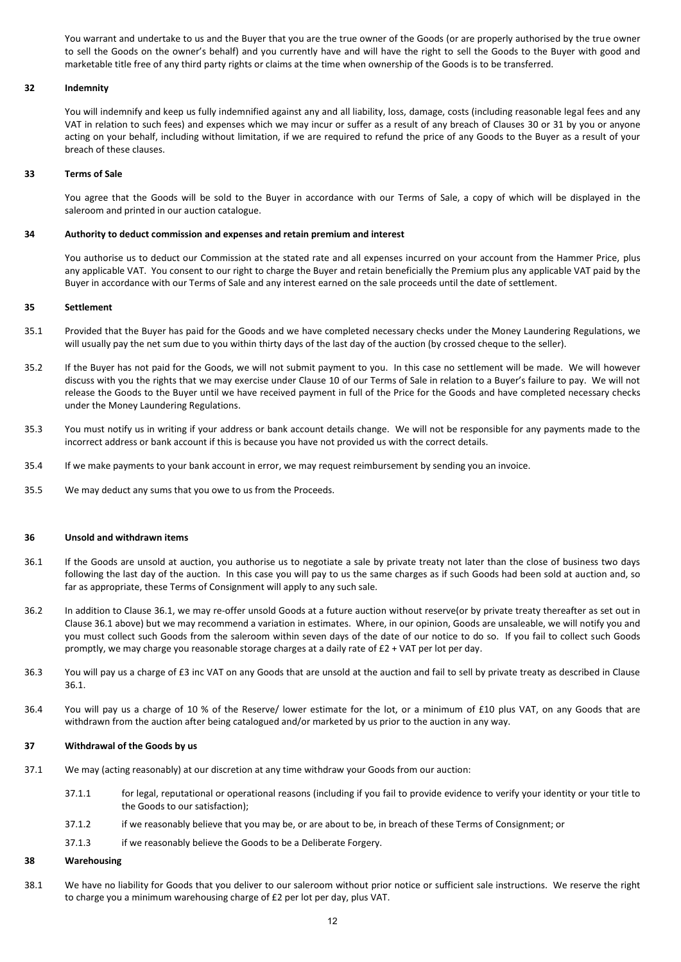You warrant and undertake to us and the Buyer that you are the true owner of the Goods (or are properly authorised by the true owner to sell the Goods on the owner's behalf) and you currently have and will have the right to sell the Goods to the Buyer with good and marketable title free of any third party rights or claims at the time when ownership of the Goods is to be transferred.

# **32 Indemnity**

You will indemnify and keep us fully indemnified against any and all liability, loss, damage, costs (including reasonable legal fees and any VAT in relation to such fees) and expenses which we may incur or suffer as a result of any breach of Clauses [30](#page-10-0) o[r 31](#page-10-1) by you or anyone acting on your behalf, including without limitation, if we are required to refund the price of any Goods to the Buyer as a result of your breach of these clauses.

# **33 Terms of Sale**

You agree that the Goods will be sold to the Buyer in accordance with our Terms of Sale, a copy of which will be displayed in the saleroom and printed in our auction catalogue.

### **34 Authority to deduct commission and expenses and retain premium and interest**

You authorise us to deduct our Commission at the stated rate and all expenses incurred on your account from the Hammer Price, plus any applicable VAT. You consent to our right to charge the Buyer and retain beneficially the Premium plus any applicable VAT paid by the Buyer in accordance with our Terms of Sale and any interest earned on the sale proceeds until the date of settlement.

# <span id="page-11-2"></span>**35 Settlement**

- 35.1 Provided that the Buyer has paid for the Goods and we have completed necessary checks under the Money Laundering Regulations, we will usually pay the net sum due to you within thirty days of the last day of the auction (by crossed cheque to the seller).
- 35.2 If the Buyer has not paid for the Goods, we will not submit payment to you. In this case no settlement will be made. We will however discuss with you the rights that we may exercise under Claus[e 10](#page-4-0) of our Terms of Sale in relation to a Buyer's failure to pay. We will not release the Goods to the Buyer until we have received payment in full of the Price for the Goods and have completed necessary checks under the Money Laundering Regulations.
- 35.3 You must notify us in writing if your address or bank account details change. We will not be responsible for any payments made to the incorrect address or bank account if this is because you have not provided us with the correct details.
- 35.4 If we make payments to your bank account in error, we may request reimbursement by sending you an invoice.
- 35.5 We may deduct any sums that you owe to us from the Proceeds.

### <span id="page-11-0"></span>**36 Unsold and withdrawn items**

- <span id="page-11-3"></span>36.1 If the Goods are unsold at auction, you authorise us to negotiate a sale by private treaty not later than the close of business two days following the last day of the auction. In this case you will pay to us the same charges as if such Goods had been sold at auction and, so far as appropriate, these Terms of Consignment will apply to any such sale.
- 36.2 In addition to Clause [36.1,](#page-11-3) we may re-offer unsold Goods at a future auction without reserve(or by private treaty thereafter as set out in Claus[e 36.1](#page-11-3) above) but we may recommend a variation in estimates. Where, in our opinion, Goods are unsaleable, we will notify you and you must collect such Goods from the saleroom within seven days of the date of our notice to do so. If you fail to collect such Goods promptly, we may charge you reasonable storage charges at a daily rate of £2 + VAT per lot per day.
- 36.3 You will pay us a charge of £3 inc VAT on any Goods that are unsold at the auction and fail to sell by private treaty as described in Clause [36.1.](#page-11-3)
- 36.4 You will pay us a charge of 10 % of the Reserve/ lower estimate for the lot, or a minimum of £10 plus VAT, on any Goods that are withdrawn from the auction after being catalogued and/or marketed by us prior to the auction in any way.

### **37 Withdrawal of the Goods by us**

- 37.1 We may (acting reasonably) at our discretion at any time withdraw your Goods from our auction:
	- 37.1.1 for legal, reputational or operational reasons (including if you fail to provide evidence to verify your identity or your title to the Goods to our satisfaction);
	- 37.1.2 if we reasonably believe that you may be, or are about to be, in breach of these Terms of Consignment; or
	- 37.1.3 if we reasonably believe the Goods to be a Deliberate Forgery.

#### <span id="page-11-1"></span>**38 Warehousing**

<span id="page-11-4"></span>38.1 We have no liability for Goods that you deliver to our saleroom without prior notice or sufficient sale instructions. We reserve the right to charge you a minimum warehousing charge of £2 per lot per day, plus VAT.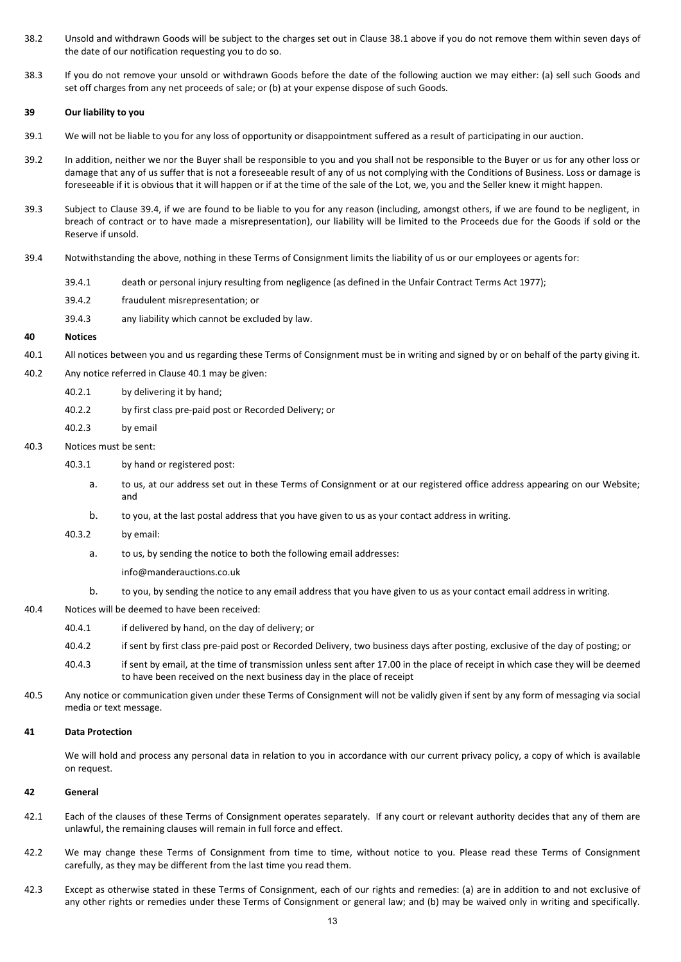- 38.2 Unsold and withdrawn Goods will be subject to the charges set out in Clause [38.1](#page-11-4) above if you do not remove them within seven days of the date of our notification requesting you to do so.
- 38.3 If you do not remove your unsold or withdrawn Goods before the date of the following auction we may either: (a) sell such Goods and set off charges from any net proceeds of sale; or (b) at your expense dispose of such Goods.

# **39 Our liability to you**

- 39.1 We will not be liable to you for any loss of opportunity or disappointment suffered as a result of participating in our auction.
- 39.2 In addition, neither we nor the Buyer shall be responsible to you and you shall not be responsible to the Buyer or us for any other loss or damage that any of us suffer that is not a foreseeable result of any of us not complying with the Conditions of Business. Loss or damage is foreseeable if it is obvious that it will happen or if at the time of the sale of the Lot, we, you and the Seller knew it might happen.
- 39.3 Subject to Clause [39.4,](#page-12-0) if we are found to be liable to you for any reason (including, amongst others, if we are found to be negligent, in breach of contract or to have made a misrepresentation), our liability will be limited to the Proceeds due for the Goods if sold or the Reserve if unsold.
- <span id="page-12-0"></span>39.4 Notwithstanding the above, nothing in these Terms of Consignment limits the liability of us or our employees or agents for:
	- 39.4.1 death or personal injury resulting from negligence (as defined in the Unfair Contract Terms Act 1977);
	- 39.4.2 fraudulent misrepresentation; or
	- 39.4.3 any liability which cannot be excluded by law.

### **40 Notices**

- <span id="page-12-1"></span>40.1 All notices between you and us regarding these Terms of Consignment must be in writing and signed by or on behalf of the party giving it.
- 40.2 Any notice referred in Clause [40.1](#page-12-1) may be given:
	- 40.2.1 by delivering it by hand;
	- 40.2.2 by first class pre-paid post or Recorded Delivery; or
	- 40.2.3 by email

# 40.3 Notices must be sent:

- 40.3.1 by hand or registered post:
	- a. to us, at our address set out in these Terms of Consignment or at our registered office address appearing on our Website; and
	- b. to you, at the last postal address that you have given to us as your contact address in writing.

### 40.3.2 by email:

a. to us, by sending the notice to both the following email addresses:

info@manderauctions.co.uk

- b. to you, by sending the notice to any email address that you have given to us as your contact email address in writing.
- 40.4 Notices will be deemed to have been received:
	- 40.4.1 if delivered by hand, on the day of delivery; or
	- 40.4.2 if sent by first class pre-paid post or Recorded Delivery, two business days after posting, exclusive of the day of posting; or
	- 40.4.3 if sent by email, at the time of transmission unless sent after 17.00 in the place of receipt in which case they will be deemed to have been received on the next business day in the place of receipt
- 40.5 Any notice or communication given under these Terms of Consignment will not be validly given if sent by any form of messaging via social media or text message.

# **41 Data Protection**

We will hold and process any personal data in relation to you in accordance with our current privacy policy, a copy of which is available on request.

# **42 General**

- 42.1 Each of the clauses of these Terms of Consignment operates separately. If any court or relevant authority decides that any of them are unlawful, the remaining clauses will remain in full force and effect.
- 42.2 We may change these Terms of Consignment from time to time, without notice to you. Please read these Terms of Consignment carefully, as they may be different from the last time you read them.
- 42.3 Except as otherwise stated in these Terms of Consignment, each of our rights and remedies: (a) are in addition to and not exclusive of any other rights or remedies under these Terms of Consignment or general law; and (b) may be waived only in writing and specifically.